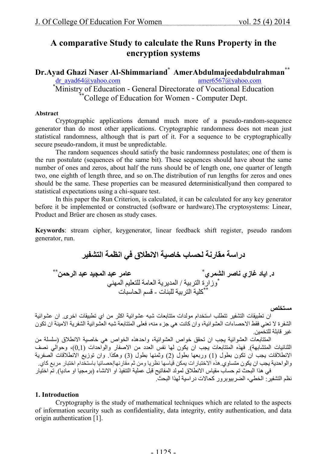## **A comparative Study to calculate the Runs Property in the encryption systems**

**Dr.Ayad Ghazi Naser Al-Shimmariand<sup>\*</sup> AmerAbdulmajeedabdulrahman<sup>\*\*</sup><br>dr ayad64@yahoo.com<br>amer6567@yahoo.com** dr\_ayad64@yahoo.com \*Ministry of Education - General Directorate of Vocational Education \*\*College of Education for Women - Computer Dept.

#### **Abstract**

Cryptographic applications demand much more of a pseudo-random-sequence generator than do most other applications. Cryptographic randomness does not mean just statistical randomness, although that is part of it. For a sequence to be cryptographically secure pseudo-random, it must be unpredictable.

The random sequences should satisfy the basic randomness postulates; one of them is the run postulate (sequences of the same bit). These sequences should have about the same number of ones and zeros, about half the runs should be of length one, one quarter of length two, one eighth of length three, and so on.The distribution of run lengths for zeros and ones should be the same. These properties can be measured deterministicallyand then compared to statistical expectations using a chi-square test.

In this paper the Run Criterion, is calculated, it can be calculated for any key generator before it be implemented or constructed (software or hardware).The cryptosystems: Linear, Product and Brüer are chosen as study cases.

**Keywords**: stream cipher, keygenerator, linear feedback shift register, pseudo random generator, run.

**دراسة مقارنة لحساب خاصیة الانطلاق في انظمة التشفیر**

**د. ایاد غازي ناصر الشمري \* \*\* عامر عبد المجید عبد الرحمن** \* وزارة التربیة / المدیریة العامة للتعلیم المھني كلیة التربیة للبنات - قسم الحاسبات \*\*

#### **مستخلص**

ان تطبیقات التشفیر تتطلب استخدام مولدات متتابعات شبھ عشوائیة اكثر من اي تطبیقات اخرى. ان عشوائیة الشفرة لا تعني فقط الاحصاءات العشوائیة، وان كانت ھي جزء منھ، فعلى المتتابعة شبھ العشوائیة الشفریة الامینة ان تكون غیر قابلة للتخمین.

المتتابعات العشوائیة یجب ان تحقق خواص العشوائیة، واحدھذه الخواص ھي خاصیة الانطلاق (سلسلة من الثنائیات المتشابھة). فھذه المتتابعات یجب ان یكون لھا نفس العدد من الاصفار والواحدات (0,1)، وحوالي نصف الانطلاقات یجب ان تكون بطول (1) وربعھا بطول (2) وثمنھا بطول (3) وھكذا. وان توزیع الانطلاقات الصفریة والواحدیة یجب ان یكون متساوي.ھذه الاختبارات یمكن قیاسھا نظریا ومن ثم مقارنھاإحصائیا باستخدام اختبار مربع كاي. في ھذا البحث تم حساب مقیاس الانطلاق لمولد المفاتیح قبل عملیة التنفیذ او الانشاء (برمجیا او مادیا). تم اختیار نظم التشفیر: الخطي، الضربیوبرور كحالات دراسیة لھذا البحث.

#### **1. Introduction**

Cryptography is the study of mathematical techniques which are related to the aspects of information security such as confidentiality, data integrity, entity authentication, and data origin authentication [1].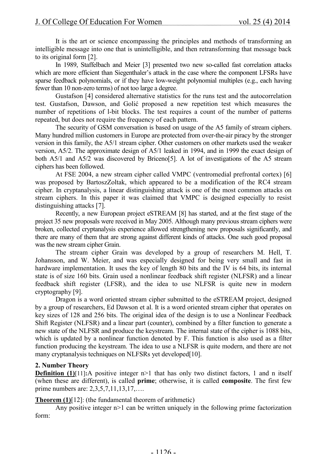It is the art or science encompassing the principles and methods of transforming an intelligible message into one that is unintelligible, and then retransforming that message back to its original form [2].

In 1989, Staffelbach and Meier [3] presented two new so-called fast correlation attacks which are more efficient than Siegenthaler's attack in the case where the component LFSRs have sparse feedback polynomials, or if they have low-weight polynomial multiples (e.g., each having fewer than 10 non-zero terms) of not too large a degree.

Gustafson [4] considered alternative statistics for the runs test and the autocorrelation test. Gustafson, Dawson, and Golić proposed a new repetition test which measures the number of repetitions of l-bit blocks. The test requires a count of the number of patterns repeated, but does not require the frequency of each pattern.

The security of GSM conversation is based on usage of the A5 family of stream ciphers. Many hundred million customers in Europe are protected from over-the-air piracy by the stronger version in this family, the A5/1 stream cipher. Other customers on other markets used the weaker version, A5/2. The approximate design of A5/1 leaked in 1994, and in 1999 the exact design of both A5/1 and A5/2 was discovered by Briceno[5]. A lot of investigations of the A5 stream ciphers has been followed.

At FSE 2004, a new stream cipher called VMPC (ventromedial prefrontal cortex) [6] was proposed by BartoszZoltak, which appeared to be a modification of the RC4 stream cipher. In cryptanalysis, a linear distinguishing attack is one of the most common attacks on stream ciphers. In this paper it was claimed that VMPC is designed especially to resist distinguishing attacks [7].

Recently, a new European project eSTREAM [8] has started, and at the first stage of the project 35 new proposals were received in May 2005. Although many previous stream ciphers were broken, collected cryptanalysis experience allowed strengthening new proposals significantly, and there are many of them that are strong against different kinds of attacks. One such good proposal was the new stream cipher Grain.

The stream cipher Grain was developed by a group of researchers M. Hell, T. Johansson, and W. Meier, and was especially designed for being very small and fast in hardware implementation. It uses the key of length 80 bits and the IV is 64 bits, its internal state is of size 160 bits. Grain used a nonlinear feedback shift register (NLFSR) and a linear feedback shift register (LFSR), and the idea to use NLFSR is quite new in modern cryptography [9].

Dragon is a word oriented stream cipher submitted to the eSTREAM project, designed by a group of researchers, Ed Dawson et al. It is a word oriented stream cipher that operates on key sizes of 128 and 256 bits. The original idea of the design is to use a Nonlinear Feedback Shift Register (NLFSR) and a linear part (counter), combined by a filter function to generate a new state of the NLFSR and produce the keystream. The internal state of the cipher is 1088 bits, which is updated by a nonlinear function denoted by F. This function is also used as a filter function producing the keystream. The idea to use a NLFSR is quite modern, and there are not many cryptanalysis techniques on NLFSRs yet developed[10].

### **2. Number Theory**

**Definition** (1)[11]:A positive integer n>1 that has only two distinct factors, 1 and n itself (when these are different), is called **prime**; otherwise, it is called **composite**. The first few prime numbers are: 2,3,5,7,11,13,17,….

**Theorem (1)**[12]: (the fundamental theorem of arithmetic)

Any positive integer n>1 can be written uniquely in the following prime factorization form: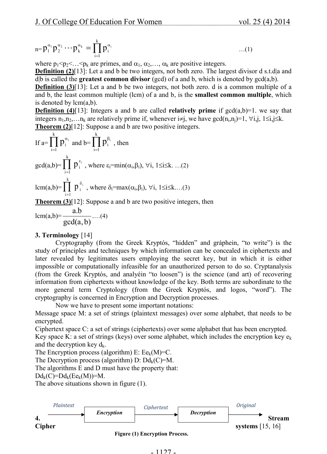$$
{}_{n=p_1^{\alpha_1}} p_2^{\alpha_2} \cdots p_k^{\alpha_k} = \prod_{i=1}^k p_i^{\alpha_i} \qquad \qquad \dots (1)
$$

where  $p_1$ < $p_2$ < $\ldots$  < $p_k$  are primes, and  $\alpha_1, \alpha_2, \ldots, \alpha_k$  are positive integers.

**Definition (2)**[13]: Let a and b be two integers, not both zero. The largest divisor d s.t.d a and d|b is called the **greatest common divisor** (gcd) of a and b, which is denoted by gcd(a,b).

**Definition (3)**[13]: Let a and b be two integers, not both zero. d is a common multiple of a and b, the least common multiple (lcm) of a and b, is the **smallest common multiple**, which is denoted by  $lcm(a,b)$ .

**Definition (4)**[13]: Integers a and b are called **relatively prime** if  $gcd(a,b)=1$ . we say that integers  $n_1, n_2, \ldots n_k$  are relatively prime if, whenever  $i \neq j$ , we have  $gcd(n_i, n_j)=1$ ,  $\forall i, j, 1 \leq i, j \leq k$ . **Theorem (2)**[12]: Suppose a and b are two positive integers.

If 
$$
a=\prod_{i=1}^k p_i^{\alpha_i}
$$
 and  $b=\prod_{i=1}^k p_i^{\beta_i}$ , then  
\n $gcd(a,b)=\prod_{i=1}^k p_i^{\epsilon_i}$ , where  $\epsilon_i = min(\alpha_i, \beta_i)$ ,  $\forall i, 1 \le i \le k$ ...(2)  
\n $lcm(a,b)=\prod_{i=1}^k p_i^{\delta_i}$ , where  $\delta_i = max(\alpha_i, \beta_i)$ ,  $\forall i, 1 \le i \le k$ ...(3)

**Theorem (3)**[12]: Suppose a and b are two positive integers, then

$$
lcm(a,b)=\frac{a.b}{gcd(a,b)}\dots(4)
$$

### **3. Terminology** [14]

Cryptography (from the Greek Kryptós, "hidden" and gráphein, "to write") is the study of principles and techniques by which information can be concealed in ciphertexts and later revealed by legitimates users employing the secret key, but in which it is either impossible or computationally infeasible for an unauthorized person to do so. Cryptanalysis (from the Greek Kryptós, and analyéin "to loosen") is the science (and art) of recovering information from ciphertexts without knowledge of the key. Both terms are subordinate to the more general term Cryptology (from the Greek Kryptós, and logos, "word"). The cryptography is concerned in Encryption and Decryption processes.

Now we have to present some important notations:

Message space M: a set of strings (plaintext messages) over some alphabet, that needs to be encrypted.

Ciphertext space C: a set of strings (ciphertexts) over some alphabet that has been encrypted.

Key space K: a set of strings (keys) over some alphabet, which includes the encryption key  $e_k$ and the decryption key  $d_k$ .

The Encryption process (algorithm) E:  $Ee_k(M)=C$ .

The Decryption process (algorithm) D:  $Dd_k(C)=M$ .

The algorithms E and D must have the property that:

 $Dd_k(C)=Dd_k(Ee_k(M))=M.$ 

The above situations shown in figure (1).

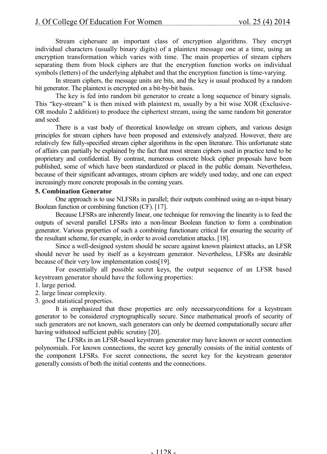Stream ciphersare an important class of encryption algorithms. They encrypt individual characters (usually binary digits) of a plaintext message one at a time, using an encryption transformation which varies with time. The main properties of stream ciphers separating them from block ciphers are that the encryption function works on individual symbols (letters) of the underlying alphabet and that the encryption function is time-varying.

In stream ciphers, the message units are bits, and the key is usual produced by a random bit generator. The plaintext is encrypted on a bit-by-bit basis.

The key is fed into random bit generator to create a long sequence of binary signals. This "key-stream" k is then mixed with plaintext m, usually by a bit wise XOR (Exclusive-OR modulo 2 addition) to produce the ciphertext stream, using the same random bit generator and seed.

There is a vast body of theoretical knowledge on stream ciphers, and various design principles for stream ciphers have been proposed and extensively analyzed. However, there are relatively few fully-specified stream cipher algorithms in the open literature. This unfortunate state of affairs can partially be explained by the fact that most stream ciphers used in practice tend to be proprietary and confidential. By contrast, numerous concrete block cipher proposals have been published, some of which have been standardized or placed in the public domain. Nevertheless, because of their significant advantages, stream ciphers are widely used today, and one can expect increasingly more concrete proposals in the coming years.

### **5. Combination Generator**

One approach is to use NLFSRs in parallel; their outputs combined using an n-input binary Boolean function or combining function (CF). [17].

Because LFSRs are inherently linear, one technique for removing the linearity is to feed the outputs of several parallel LFSRs into a non-linear Boolean function to form a combination generator. Various properties of such a combining functionare critical for ensuring the security of the resultant scheme, for example, in order to avoid correlation attacks. [18].

Since a well-designed system should be secure against known plaintext attacks, an LFSR should never be used by itself as a keystream generator. Nevertheless, LFSRs are desirable because of their very low implementation costs[19].

For essentially all possible secret keys, the output sequence of an LFSR based keystream generator should have the following properties:

- 1. large period.
- 2. large linear complexity.
- 3. good statistical properties.

It is emphasized that these properties are only necessaryconditions for a keystream generator to be considered cryptographically secure. Since mathematical proofs of security of such generators are not known, such generators can only be deemed computationally secure after having withstood sufficient public scrutiny [20].

The LFSRs in an LFSR-based keystream generator may have known or secret connection polynomials. For known connections, the secret key generally consists of the initial contents of the component LFSRs. For secret connections, the secret key for the keystream generator generally consists of both the initial contents and the connections.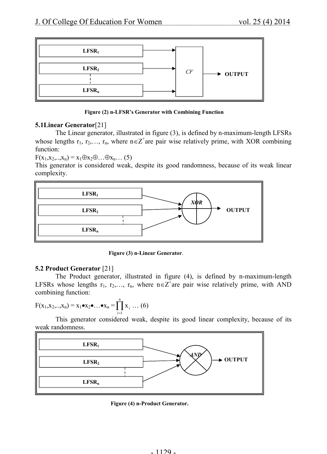

### **Figure (2) n-LFSR's Generator with Combining Function**

### **5.1Linear Generator**[21]

The Linear generator, illustrated in figure (3), is defined by n-maximum-length LFSRs whose lengths  $r_1, r_2,..., r_n$ , where  $n \in \mathbb{Z}^+$  are pair wise relatively prime, with XOR combining function:

 $F(x_1, x_2, ..., x_n) = x_1 \oplus x_2 \oplus ... \oplus x_n ...$  (5)

This generator is considered weak, despite its good randomness, because of its weak linear complexity.



**Figure (3) n-Linear Generator**.

### **5.2 Product Generator** [21]

The Product generator, illustrated in figure (4), is defined by n-maximum-length LFSRs whose lengths  $r_1, r_2,..., r_n$ , where  $n \in \mathbb{Z}^+$ are pair wise relatively prime, with AND combining function:

$$
F(x_1, x_2, \ldots, x_n) = x_1 \bullet x_2 \bullet \ldots \bullet x_n = \prod_{i=1}^n x_i \ldots (6)
$$

This generator considered weak, despite its good linear complexity, because of its weak randomness.



**Figure (4) n-Product Generator.**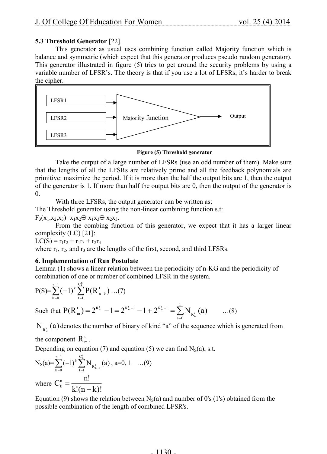### **5.3 Threshold Generator** [22].

This generator as usual uses combining function called Majority function which is balance and symmetric (which expect that this generator produces pseudo random generator). This generator illustrated in figure (5) tries to get around the security problems by using a variable number of LFSR's. The theory is that if you use a lot of LFSRs, it's harder to break the cipher.



**Figure (5) Threshold generator**

Take the output of a large number of LFSRs (use an odd number of them). Make sure that the lengths of all the LFSRs are relatively prime and all the feedback polynomials are primitive: maximize the period. If it is more than the half the output bits are 1, then the output of the generator is 1. If more than half the output bits are 0, then the output of the generator is  $\overline{0}$ .

With three LFSRs, the output generator can be written as:

The Threshold generator using the non-linear combining function s.t:

 $F_3(x_1,x_2,x_3)=x_1x_2 \oplus x_1x_3 \oplus x_2x_3.$ 

From the combing function of this generator, we expect that it has a larger linear complexity (LC) [21]:

 $LC(S) = r_1r_2 + r_1r_3 + r_2r_3$ 

where  $r_1$ ,  $r_2$ , and  $r_3$  are the lengths of the first, second, and third LFSRs.

### **6. Implementation of Run Postulate**

Lemma (1) shows a linear relation between the periodicity of n-KG and the periodicity of combination of one or number of combined LFSR in the system.

$$
P(S) = \sum_{k=0}^{n-1} (-1)^k \sum_{t=1}^{C_k^n} P(R_{n-k}^t) \dots (7)
$$

Such that  $P(R_m^t) = 2^{R_m^t} - 1 = 2^{R_m^t - 1} - 1 + 2^{R_m^t - 1} = \sum_{\alpha=0}^{1}$  $\sum_{a=0}$  R  $P(R_m^t) = 2^{R_m^t} - 1 = 2^{R_m^t - 1} - 1 + 2^{R_m^t - 1} = \sum_{n=0}^{\infty} N_{R_m^t}(a)$  $\sum_{m}^{t_{m}}$  – 1 = 2<sup>R<sub>tn</sub>-1</sup> – 1 + 2<sup>Rt<sub>n</sub>-1</sup> =  $\sum_{m}$ N<sub>nt</sub> (a) ...(8)

 $N_{R_m^t}(a)$  denotes the number of binary of kind "a" of the sequence which is generated from

the component  $R_{m}^{t}$ .

Depending on equation (7) and equation (5) we can find  $N_S(a)$ , s.t.

$$
N_S(a) = \sum_{k=0}^{n-1} (-1)^k \sum_{t=1}^{C_k^n} N_{R_{n-k}^t}(a), a=0, 1 \dots (9)
$$

where  $k!(n-k)!$ n!  $C_{k}^{n}$  $k - k!(n =$ 

Equation (9) shows the relation between  $N_S(a)$  and number of 0's (1's) obtained from the possible combination of the length of combined LFSR's.

#### . 1130 .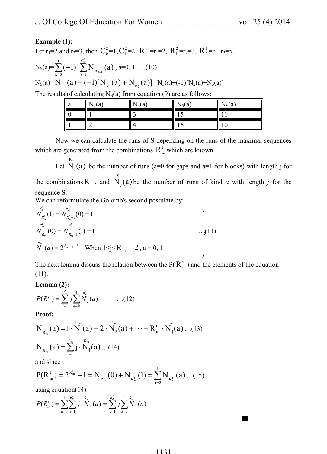### **Example (1):**

Let  $r_1$ =2 and  $r_2$ =3, then  $C_0^2$ =1,  $C_1^2$ =2,  $R_1^1$  =r<sub>1</sub>=2,  $R_1^2$  =r<sub>2</sub>=3,  $R_2^1$  =r<sub>1</sub>+r<sub>2</sub>=5.  $N_S(a) = \sum_{k=0}^{1} (-1)^k \sum_{t=1}^{C_k^2} N_{R_{2-}^t}$  $k = 0$ C  $\sum_{t=1}$  R k 2 k  $(-1)^k \sum_{k=1}^k N_{R_{2-k}^k}(a)$ , a=0, 1 …(10)  $N_S(a) = N_{R_2^1}(a) + (-1)[N_{R_1^1}(a) + N_{R_1^2}(a)] = N_S(a) + (-1)[N_2(a) + N_3(a)]$ The results of calculating  $N_S(a)$  from equation (9) are as follows:

| ¶ a | $N_2(a)$        | $\frac{1}{3}$ (a | $N_5(a)$ | $N_S(a)$ |
|-----|-----------------|------------------|----------|----------|
|     |                 | ◠<br>            |          |          |
|     | $\sqrt{2}$<br>∸ |                  | O        | l C      |

Now we can calculate the runs of S depending on the runs of the maximal sequences which are generated from the combinations  $R_m^t$  which are known.

Let  $N_i(a)$  $R_m^t$  $\mathbf{g}_j(\mathbf{a})$  be the number of runs (a=0 for gaps and a=1 for blocks) with length j for the combinations  $R_{m}^{t}$ , and  $\overrightarrow{N}_{j}(a)$  $\mathbf{g}_j(\mathbf{a})$  be the number of runs of kind *a* with length *j* for the sequence S.

We can reformulate the Golomb's second postulate by:

$$
R_{n'_{m}}^{k'_{m}}(1) = N_{R_{m}^{k} - 1}^{R_{m}^{k}}(0) = 1
$$
  
\n
$$
N_{R_{m}^{k}}^{k'}(0) = N_{R_{m}^{k} - 1}^{k'_{m}}(1) = 1
$$
  
\n
$$
N_{j}(a) = 2^{R_{m}^{k} - j - 2}
$$
 When  $1 \le j \le R_{m}^{t} - 2$ ,  $a = 0, 1$ 

The next lemma discuss the relation between the  $P(R_m^t)$  and the elements of the equation (11).

### **Lemma (2):**

$$
P(R_n^t) = \sum_{j=1}^{R_m^t} j \sum_{a=0}^1 \sum_{j=0}^{R_n^t} (a) \qquad \qquad \dots (12)
$$

**Proof:**

$$
N_{R_m^t}(a) = 1 \cdot \stackrel{R_m^t}{N_1}(a) + 2 \cdot \stackrel{R_m^t}{N_2}(a) + \dots + R_m^t \cdot \stackrel{R_m^t}{N_j}(a) \dots (13)
$$
  

$$
N_{R_m^t}(a) = \sum_{j=1}^{R_m^t} j \cdot \stackrel{R_n^t}{N_j}(a) \dots (14)
$$

and since

$$
P(R_m^{\tau}) = 2^{R_m^{\tau}} - 1 = N_{R_m^{\tau}}(0) + N_{R_m^{\tau}}(1) = \sum_{a=0}^{1} N_{R_m^{\tau}}(a) \dots (15)
$$

using equation(14)

$$
P(R_m^t) = \sum_{a=0}^1 \sum_{j=1}^{R_m^t} j \cdot N_j(a) = \sum_{j=1}^{R_m^t} j \sum_{a=0}^1 N_j(a)
$$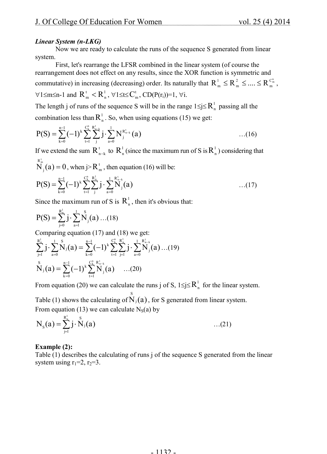### *Linear System (n-LKG)*

Now we are ready to calculate the runs of the sequence S generated from linear system.

First, let's rearrange the LFSR combined in the linear system (of course the rearrangement does not effect on any results, since the XOR function is symmetric and commutative) in increasing (decreasing) order. Its naturally that  $R_{m}^{1} \leq R_{m}^{2} \leq ... \leq R_{m}^{C_{m}^{n}}$ m 2  $R_{m}^{1} \leq R_{m}^{2} \leq ... \leq R_{m}^{C_{m}^{n}}$  $\forall 1 \leq m \leq n-1$  and  $R_m^t < R_n^1$ ,  $\forall 1 \leq t \leq C_m^t$ ,  $CD(P(r_i))=1$ ,  $\forall i$ .

The length j of runs of the sequence S will be in the range  $1 \le j \le R_n^1$  passing all the combination less than  $R_n^1$ . So, when using equations (15) we get:

$$
P(S) = \sum_{k=0}^{n-1} (-1)^k \sum_{t=1}^{C_k^n} \sum_{j}^{R_{n-k}^t} j \cdot \sum_{a=0}^1 N_j^{R_{n-k}^t} (a) \qquad \qquad \dots (16)
$$

If we extend the sum  $R_{n-k}^t$  to  $R_n^l$  (since the maximum run of S is  $R_n^l$ ) considering that  $R_{j}^{t}$  (a) = 0, when j>  $R_{j}^{t}$ 

$$
N_j(a) = 0
$$
, when j >  $R_m^t$ , then equation (16) will be:

$$
P(S) = \sum_{k=0}^{n-1} (-1)^k \sum_{t=1}^{C_k^n} \sum_{j}^{R_n^1} j \cdot \sum_{a=0}^{1} \sum_{j}^{R_{n-k}^1} (a) \qquad \qquad \dots (17)
$$

Since the maximum run of S is  $R_n^1$ , then it's obvious that:

$$
P(S) = \sum_{j=0}^{R_n^1} j \cdot \sum_{a=1}^1 \overset{S}{N}_j(a) \dots (18)
$$

Comparing equation (17) and (18) we get:

$$
\sum_{j=1}^{R_n^1} j \cdot \sum_{a=0}^{1} \overset{S}{N}_j(a) = \sum_{k=0}^{n-1} (-1)^k \sum_{t=1}^{C_k^n} \sum_{j=1}^{R_n^1} j \cdot \sum_{a=0}^{1} \overset{R_{n-k}^1}{N}_j(a) \dots (19)
$$
  

$$
\overset{S}{N}_j(a) = \sum_{k=0}^{n-1} (-1)^k \sum_{t=1}^{C_k^n} \overset{R_{n-k}^1}{N}_j(a) \dots (20)
$$

From equation (20) we can calculate the runs j of S,  $1 \le j \le R_n^1$  for the linear system.

Table (1) shows the calculating of  $\mathring{N}_j(a)$ , for S generated from linear system. From equation (13) we can calculate  $N_S(a)$  by

$$
N_{s}(a) = \sum_{j=1}^{R_{n}^{1}} j \cdot \stackrel{s}{N}_{j}(a) \qquad ...(21)
$$

### **Example (2):**

Table (1) describes the calculating of runs j of the sequence S generated from the linear system using  $r_1=2$ ,  $r_2=3$ .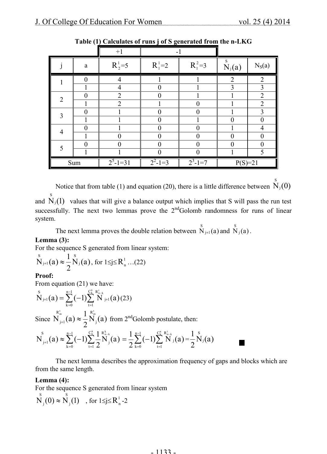|                |                  | $+1$                  | $-1$                               |                |                                                    |                         |  |
|----------------|------------------|-----------------------|------------------------------------|----------------|----------------------------------------------------|-------------------------|--|
|                | $\rm{a}$         | $R_2^1 = 5$           | $R_1^1 = 2$                        | $R_1^2 = 3$    | $\stackrel{\text{\tiny S}}{N}_{\text{\tiny j}}(a)$ | $N_S(a)$                |  |
|                | $\theta$         | $\overline{4}$        |                                    |                | $\overline{2}$                                     | $\overline{2}$          |  |
|                |                  | $\overline{4}$        | $\boldsymbol{0}$                   |                | 3                                                  | $\overline{\mathbf{3}}$ |  |
| 2              | $\boldsymbol{0}$ | $\overline{2}$        | $\theta$                           |                |                                                    | $\overline{2}$          |  |
|                |                  | $\overline{2}$        |                                    | $\overline{0}$ |                                                    | $\overline{2}$          |  |
| 3              | $\mathbf{0}$     |                       | 0                                  | $\Omega$       |                                                    | $\overline{3}$          |  |
|                |                  |                       | $\overline{0}$                     |                | $\theta$                                           | $\theta$                |  |
| $\overline{4}$ | $\theta$         |                       | 0                                  | $\theta$       |                                                    | $\overline{4}$          |  |
|                |                  | $\theta$              | $\overline{0}$                     | $\overline{0}$ | $\overline{0}$                                     | $\theta$                |  |
| 5              | $\theta$         | $\Omega$              | $\theta$                           | $\theta$       | $\Omega$                                           | $\overline{0}$          |  |
|                |                  |                       | $\Omega$                           | $\overline{0}$ |                                                    | 5                       |  |
| Sum            |                  | $\overline{2^5-1}=31$ | $\overline{2^2-1}=3$<br>$2^3$ -1=7 |                | $P(S)=21$                                          |                         |  |

**Table (1) Calculates of runs j of S generated from the n-LKG**

Notice that from table (1) and equation (20), there is a little difference between  $\stackrel{\text{S}}{N}_j(0)$ S

and  $N_j(1)$  values that will give a balance output which implies that S will pass the run test successfully. The next two lemmas prove the  $2<sup>nd</sup>$ Golomb randomness for runs of linear system.

The next lemma proves the double relation between  $\overrightarrow{N}_{j+1}(a)$  and  $\overrightarrow{N}_{j}(a)$ .

### **Lemma (3):**

For the sequence S generated from linear system:

$$
\overset{s}{N}_{j+1}(a) \approx \frac{1}{2} \overset{s}{N}_{j}(a), \text{ for } 1 \leq j \leq R_{n}^{1} \dots (22)
$$

### **Proof:**

From equation (21) we have:

$$
\overset{\mathrm{S}}{N}_{\text{j+1}}(a) = \sum_{k=0}^{n-1} (-1) \overset{\mathcal{C}^n_k}{\underset{t=1}{\sum}} \, \overset{R_{n-k}^t}{N}_{\text{j+1}}(a) \, (23)
$$

Since  $N_{i+1}(a) \approx \frac{1}{2} N_i(a)$ 2 1  $N_{i+1}(a)$  $\mathbf{R}_{m}^{\mathrm{t}}$   $\mathbf{R}_{m}^{\mathrm{t}}$ j  $\overline{N}^{\frac{R^t_{m}}{2}}_{j+1}(a) \approx \frac{1}{2} \overline{N}^{\frac{R^t_{m}}{2}}_{j}(a)$  from 2<sup>nd</sup>Golomb postulate, then:

$$
N_{_{j+1}}^s(a)\approx \sum_{_{k=0}}^{_{n-1}}(-1)\sum_{_{t=1}}^{^{_{C_k^n}}}\frac{1}{2}\overset{R_{_{n-k}}^{_k}}{N_{_j}}(a)=\frac{1}{2}\sum_{_{k=0}}^{^{n-1}}(-1)\sum_{_{t=1}}^{^{_{C_k^n}}}\overset{R_{_{n-k}}^{_k}}{N}_{_j}(a)=\frac{1}{2} \overset{s}{N}_{_j}(a)\\
$$

The next lemma describes the approximation frequency of gaps and blocks which are from the same length.

### **Lemma (4):**

For the sequence S generated from linear system  $\bigvee_{i=1}^{s} (0) \approx \bigvee_{i=1}^{s} (1)$ j  $\int_{S}^{S} (0) \approx N \int_{S}^{S} (1)$ , for  $1 \le j \le R_{n}^{1}$ -2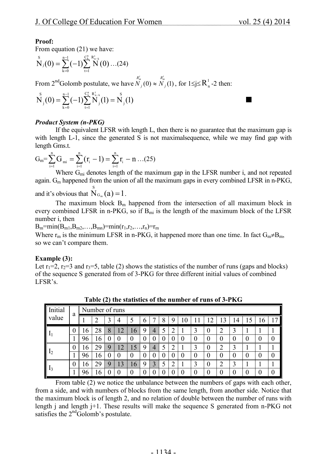### **Proof:**

From equation (21) we have:

$$
N_{j}(0) = \sum_{k=0}^{n-1} (-1) \sum_{t=1}^{C_{k}^{n}} N^{t}_{j}(0) \dots (24)
$$
  
From 2<sup>nd</sup> Golomb postulate, we have  $N^{R_{m}^{t}}(0) \approx N^{R_{m}^{t}}(1)$  for 1 < i < R<sup>1</sup> - 2 t

From 2<sup>nd</sup>Golomb postulate, we have  $\overline{N}_j(0) \approx \overline{N}_j(1)$ , for  $1 \le j \le R_n^1$ -2 then:

$$
\overset{s}{N}_{j}(0) = \sum_{k=0}^{n-1} (-1) \overset{C_{k}^{n}}{\underset{t=1}{\sum}} \overset{R_{n-k}^{t}}{N}_{j}(1) = \overset{s}{N}_{j}(1)
$$

### *Product System (n-PKG)*

If the equivalent LFSR with length L, then there is no guarantee that the maximum gap is with length L-1, since the generated S is not maximal sequence, while we may find gap with length Gms.t.

$$
G_m = \sum_{i=1}^{n} G_{mi} = \sum_{i=1}^{n} (r_i - 1) = \sum_{i=1}^{n} r_i - n \dots (25)
$$

Where  $G<sub>mi</sub>$  denotes length of the maximum gap in the LFSR number i, and not repeated again.  $G_m$  happened from the union of all the maximum gaps in every combined LFSR in n-PKG, and it's obvious that  $\bigwedge^S_{G_m}(a) = 1$ .

The maximum block  $B_m$  happened from the intersection of all maximum block in every combined LFSR in n-PKG, so if  $B<sub>mi</sub>$  is the length of the maximum block of the LFSR number i, then

 $B_m = min(B_{m1},B_{m2},...,B_{mn}) = min(r_1,r_2,...,r_n) = r_m$ 

Where  $r_m$  is the minimum LFSR in n-PKG, it happened more than one time. In fact  $G_m \neq B_m$ , so we can't compare them.

### **Example (3):**

Let  $r_1=2$ ,  $r_2=3$  and  $r_3=5$ , table (2) shows the statistics of the number of runs (gaps and blocks) of the sequence S generated from of 3-PKG for three different initial values of combined LFSR's.

| Initial<br>value | a | Number of runs |    |   |                |                 |   |                |   |        |    |          |          |                |          |                          |    |                  |
|------------------|---|----------------|----|---|----------------|-----------------|---|----------------|---|--------|----|----------|----------|----------------|----------|--------------------------|----|------------------|
|                  |   |                | າ  | 3 | $\overline{4}$ |                 | b |                | 8 | 9      | 10 |          | ി        | 13             | 14       | $\overline{\phantom{a}}$ | 10 |                  |
| 1 <sub>1</sub>   | U | 16             | 28 | 8 | 12             | 6               | 9 | $\overline{4}$ |   | າ<br>↵ |    | 3        | $\bf{0}$ | $\overline{2}$ | 3        |                          |    |                  |
|                  |   | 96             | 16 |   | $\theta$       | O               | O | U              | U | U      | O  | $\theta$ | $\theta$ | O              | O        | O                        | 0  | $\boldsymbol{0}$ |
|                  | U | 16             | 29 | 9 | 12             | 15              | 9 | 4              |   | າ<br>∠ |    | 3        | $\theta$ | າ<br>∠         | 3        |                          |    |                  |
| 12               |   | 96             | 16 | O |                | O               | U | U              | U | U      | O  | $\theta$ | $\theta$ | U              | $\bf{0}$ | 0                        | 0  | $\boldsymbol{0}$ |
| 1 <sub>3</sub>   | U | 16             | 29 | 9 | 13             | 16 <sup>7</sup> | 9 | 3              | 5 | ∍<br>∠ |    | 3        | $\theta$ | າ<br>∠         | 3        |                          |    |                  |
|                  |   | 96             | b  |   |                | $\theta$        |   | U              |   |        |    | $\theta$ | $\theta$ | 0              | 0        | 0                        | 0  | $\boldsymbol{0}$ |

**Table (2) the statistics of the number of runs of 3-PKG**

From table (2) we notice the unbalance between the numbers of gaps with each other, from a side, and with numbers of blocks from the same length, from another side. Notice that the maximum block is of length 2, and no relation of double between the number of runs with length j and length j+1. These results will make the sequence S generated from n-PKG not satisfies the  $2<sup>nd</sup>$ Golomb's postulate.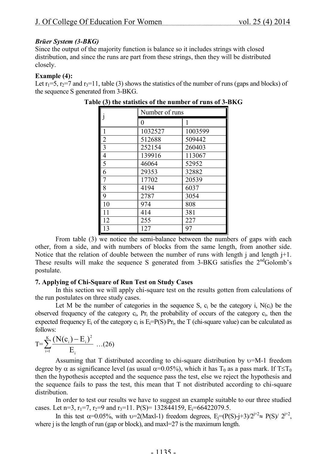#### *Brüer System (3-BKG)*

Since the output of the majority function is balance so it includes strings with closed distribution, and since the runs are part from these strings, then they will be distributed closely.

#### **Example (4):**

Let  $r_1=5$ ,  $r_2=7$  and  $r_3=11$ , table (3) shows the statistics of the number of runs (gaps and blocks) of the sequence S generated from 3-BKG.

|                 | Number of runs |         |  |  |  |  |  |
|-----------------|----------------|---------|--|--|--|--|--|
|                 | 0              | 1       |  |  |  |  |  |
|                 | 1032527        | 1003599 |  |  |  |  |  |
| $\overline{2}$  | 512688         | 509442  |  |  |  |  |  |
| $\overline{3}$  | 252154         | 260403  |  |  |  |  |  |
| 4               | 139916         | 113067  |  |  |  |  |  |
| $\overline{5}$  | 46064          | 52952   |  |  |  |  |  |
| 6               | 29353          | 32882   |  |  |  |  |  |
|                 | 17702          | 20539   |  |  |  |  |  |
| 8               | 4194           | 6037    |  |  |  |  |  |
| 9               | 2787           | 3054    |  |  |  |  |  |
| 10              | 974            | 808     |  |  |  |  |  |
| 11              | 414            | 381     |  |  |  |  |  |
| 12              | 255            | 227     |  |  |  |  |  |
| $\overline{13}$ | 127            | 97      |  |  |  |  |  |

From table (3) we notice the semi-balance between the numbers of gaps with each other, from a side, and with numbers of blocks from the same length, from another side. Notice that the relation of double between the number of runs with length j and length  $j+1$ . These results will make the sequence S generated from 3-BKG satisfies the 2<sup>nd</sup>Golomb's postulate.

### **7. Applying of Chi-Square of Run Test on Study Cases**

In this section we will apply chi-square test on the results gotten from calculations of the run postulates on three study cases.

Let M be the number of categories in the sequence S,  $c_i$  be the category i,  $N(c_i)$  be the observed frequency of the category  $c_i$ ,  $Pr_i$  the probability of occurs of the category  $c_i$ , then the expected frequency  $E_i$  of the category  $c_i$  is  $E_i = P(S) \cdot Pr_i$ , the T (chi-square value) can be calculated as follows:

$$
T = \sum_{i=1}^{K} \frac{(N(c_i) - E_i)^2}{E_i} \dots (26)
$$

Assuming that T distributed according to chi-square distribution by  $v=M-1$  freedom degree by  $\alpha$  as significance level (as usual  $\alpha=0.05\%$ ), which it has T<sub>0</sub> as a pass mark. If T $\leq$ T<sub>0</sub> then the hypothesis accepted and the sequence pass the test, else we reject the hypothesis and the sequence fails to pass the test, this mean that T not distributed according to chi-square distribution.

In order to test our results we have to suggest an example suitable to our three studied cases. Let n=3,  $r_1$ =7,  $r_2$ =9 and  $r_3$ =11. P(S)= 132844159, E<sub>i</sub>=66422079.5.

In this test  $\alpha$ =0.05%, with v=2(Maxl-1) freedom degrees, E<sub>j</sub>=(P(S)-j+3)/2<sup>j+2</sup> $\approx$  P(S)/2<sup>j+2</sup>, where j is the length of run (gap or block), and maxl=27 is the maximum length.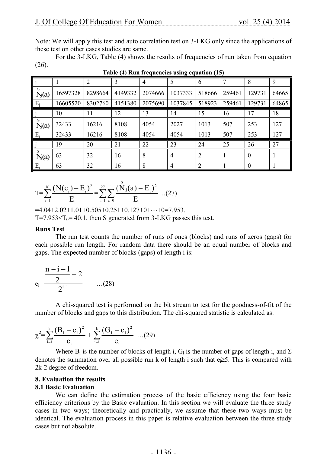Note: We will apply this test and auto correlation test on 3-LKG only since the applications of these test on other cases studies are same.

For the 3-LKG, Table (4) shows the results of frequencies of run taken from equation (26).

|            |          | $\overline{2}$ | 3       | $\overline{4}$ | 5              | 6              | $\mathcal{I}$ | 8        | 9     |
|------------|----------|----------------|---------|----------------|----------------|----------------|---------------|----------|-------|
| S.<br>N(a) | 16597328 | 8298664        | 4149332 | 2074666        | 1037333        | 518666         | 259461        | 129731   | 64665 |
| $E_i$      | 16605520 | 8302760        | 4151380 | 2075690        | 1037845        | 518923         | 259461        | 129731   | 64865 |
|            | 10       | 11             | 12      | 13             | 14             | 15             | 16            | 17       | 18    |
| S<br>N(a)  | 32433    | 16216          | 8108    | 4054           | 2027           | 1013           | 507           | 253      | 127   |
| $E_i$      | 32433    | 16216          | 8108    | 4054           | 4054           | 1013           | 507           | 253      | 127   |
|            | 19       | 20             | 21      | 22             | 23             | 24             | 25            | 26       | 27    |
| S<br>N(a)  | 63       | 32             | 16      | 8              | 4              | $\overline{2}$ |               | $\theta$ |       |
| $E_i$      | 63       | 32             | 16      | 8              | $\overline{4}$ | $\overline{2}$ |               | $\theta$ |       |

### **Table (4) Run frequencies using equation (15)**

$$
T = \sum_{i=1}^{K} \frac{(N(c_i) - E_i)^2}{E_i} = \sum_{i=1}^{27} \sum_{a=0}^{1} \frac{(N_i(a) - E_i)^2}{E_i} \dots (27)
$$

 $=4.04+2.02+1.01+0.505+0.251+0.127+0+\cdots+0=7.953$ . T=7.953<T<sub>0</sub>= 40.1, then S generated from 3-LKG passes this test.

#### **Runs Test**

The run test counts the number of runs of ones (blocks) and runs of zeros (gaps) for each possible run length. For random data there should be an equal number of blocks and gaps. The expected number of blocks (gaps) of length i is:

$$
e_i = \frac{\frac{n-i-1}{2} + 2}{2^{i+1}} \qquad \qquad ...(28)
$$

A chi-squared test is performed on the bit stream to test for the goodness-of-fit of the number of blocks and gaps to this distribution. The chi-squared statistic is calculated as:

$$
\chi^2 = \sum_{i=1}^k \frac{(B_i - e_i)^2}{e_i} + \sum_{i=1}^k \frac{(G_i - e_i)^2}{e_i} \dots (29)
$$

Where  $B_i$  is the number of blocks of length i,  $G_i$  is the number of gaps of length i, and  $\Sigma$ denotes the summation over all possible run k of length i such that  $e_i \geq 5$ . This is compared with 2k-2 degree of freedom.

# **8. Evaluation the results**

### **8.1 Basic Evaluation**

We can define the estimation process of the basic efficiency using the four basic efficiency criterions by the Basic evaluation. In this section we will evaluate the three study cases in two ways; theoretically and practically, we assume that these two ways must be identical. The evaluation process in this paper is relative evaluation between the three study cases but not absolute.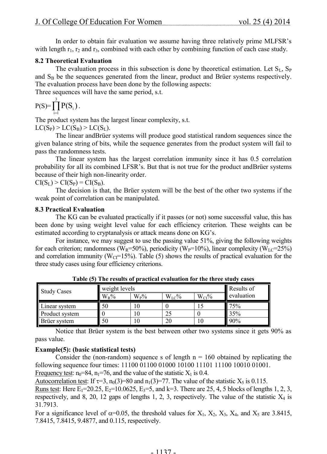In order to obtain fair evaluation we assume having three relatively prime MLFSR's with length  $r_1$ ,  $r_2$  and  $r_3$ , combined with each other by combining function of each case study.

### **8.2 Theoretical Evaluation**

The evaluation process in this subsection is done by theoretical estimation. Let  $S_L$ ,  $S_P$ and  $S_B$  be the sequences generated from the linear, product and Brüer systems respectively. The evaluation process have been done by the following aspects:

Three sequences will have the same period, s.t.

$$
P(S) = \prod_{i=1}^3 P(S_i).
$$

The product system has the largest linear complexity, s.t.  $LC(S_P)$  >  $LC(S_B)$  >  $LC(S_L)$ .

The linear andBrüer systems will produce good statistical random sequences since the given balance string of bits, while the sequence generates from the product system will fail to pass the randomness tests.

The linear system has the largest correlation immunity since it has 0.5 correlation probability for all its combined LFSR's. But that is not true for the product andBrüer systems because of their high non-linearity order.

 $CI(S_L) > CI(S_P) = CI(S_B).$ 

The decision is that, the Brüer system will be the best of the other two systems if the weak point of correlation can be manipulated.

### **8.3 Practical Evaluation**

The KG can be evaluated practically if it passes (or not) some successful value, this has been done by using weight level value for each efficiency criterion. These weights can be estimated according to cryptanalysis or attack means done on KG's.

For instance, we may suggest to use the passing value 51%, giving the following weights for each criterion; randomness (W<sub>R</sub>=50%), periodicity (W<sub>P</sub>=10%), linear complexity (W<sub>LC</sub>=25%) and correlation immunity ( $W_{CI}$ =15%). Table (5) shows the results of practical evaluation for the three study cases using four efficiency criterions.

| <b>Study Cases</b> | weight levels | Results of  |            |            |            |
|--------------------|---------------|-------------|------------|------------|------------|
|                    | $W_R\%$       | $\rm W_P\%$ | $W_{LC}$ % | $W_{CI}$ % | evaluation |
| Linear system      | 50            | U           |            |            | 75%        |
| Product system     |               | ΙU          | 25         |            | 35%        |
| Brüer system       | 50            | l C         | 20         | ТU         | 90%        |

**Table (5) The results of practical evaluation for the three study cases**

Notice that Brüer system is the best between other two systems since it gets 90% as pass value.

### **Example(5): (basic statistical tests)**

Consider the (non-random) sequence s of length  $n = 160$  obtained by replicating the following sequence four times: 11100 01100 01000 10100 11101 11100 10010 01001. Frequency test:  $n_0=84$ ,  $n_1=76$ , and the value of the statistic  $X_1$  is 0.4.

Autocorrelation test: If  $\tau=3$ ,  $n_0(3)=80$  and  $n_1(3)=77$ . The value of the statistic  $X_5$  is 0.115.

Runs test: Here  $E_1 = 20.25$ ,  $E_2 = 10.0625$ ,  $E_3 = 5$ , and k=3. There are 25, 4, 5 blocks of lengths 1, 2, 3, respectively, and 8, 20, 12 gaps of lengths 1, 2, 3, respectively. The value of the statistic  $X_4$  is 31.7913.

For a significance level of  $\alpha$ =0.05, the threshold values for X<sub>1</sub>, X<sub>2</sub>, X<sub>3</sub>, X<sub>4</sub>, and X<sub>5</sub> are 3.8415, 7.8415, 7.8415, 9.4877, and 0.115, respectively.